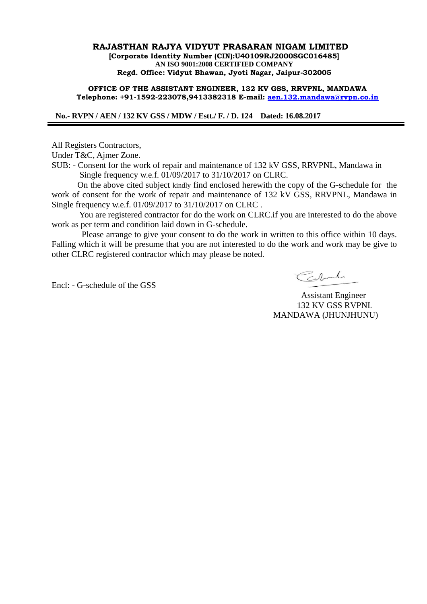### **RAJASTHAN RAJYA VIDYUT PRASARAN NIGAM LIMITED [Corporate Identity Number (CIN):U40109RJ2000SGC016485] AN ISO 9001:2008 CERTIFIED COMPANY Regd. Office: Vidyut Bhawan, Jyoti Nagar, Jaipur-302005**

### **OFFICE OF THE ASSISTANT ENGINEER, 132 KV GSS, RRVPNL, MANDAWA Telephone: +91-1592-223078,9413382318 E-mail: [aen.132.mandawa@rvpn.co.in](mailto:aen.132.mandawa@rvpn.co.in)**

 **No.- RVPN / AEN / 132 KV GSS / MDW / Estt./ F. / D. 124 Dated: 16.08.2017**

All Registers Contractors,

Under T&C, Ajmer Zone.

SUB: - Consent for the work of repair and maintenance of 132 kV GSS, RRVPNL, Mandawa in Single frequency w.e.f. 01/09/2017 to 31/10/2017 on CLRC.

 On the above cited subject kindly find enclosed herewith the copy of the G-schedule for the work of consent for the work of repair and maintenance of 132 kV GSS, RRVPNL, Mandawa in Single frequency w.e.f. 01/09/2017 to 31/10/2017 on CLRC .

 You are registered contractor for do the work on CLRC.if you are interested to do the above work as per term and condition laid down in G-schedule.

 Please arrange to give your consent to do the work in written to this office within 10 days. Falling which it will be presume that you are not interested to do the work and work may be give to other CLRC registered contractor which may please be noted.

Encl: - G-schedule of the GSS

Carlot

 Assistant Engineer 132 KV GSS RVPNL MANDAWA (JHUNJHUNU)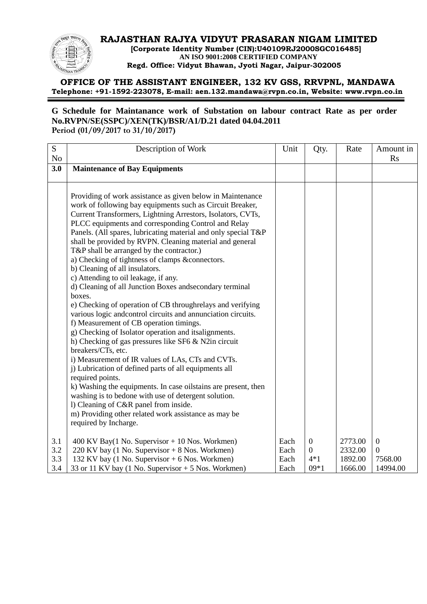# **RAJASTHAN RAJYA VIDYUT PRASARAN NIGAM LIMITED**

 **[Corporate Identity Number (CIN):U40109RJ2000SGC016485] AN ISO 9001:2008 CERTIFIED COMPANY Regd. Office: Vidyut Bhawan, Jyoti Nagar, Jaipur-302005**

# **OFFICE OF THE ASSISTANT ENGINEER, 132 KV GSS, RRVPNL, MANDAWA Telephone: +91-1592-223078, E-mail: aen.132.mandawa@rvpn.co.in, Website: www.rvpn.co.in**

## **G Schedule for Maintanance work of Substation on labour contract Rate as per order No.RVPN/SE(SSPC)/XEN(TK)/BSR/A1/D.21 dated 04.04.2011 Period (01/09/2017 to 31/10/2017)**

| S              | Description of Work                                            | Unit | Qty.         | Rate    | Amount in    |
|----------------|----------------------------------------------------------------|------|--------------|---------|--------------|
| N <sub>o</sub> |                                                                |      |              |         | Rs           |
| 3.0            | <b>Maintenance of Bay Equipments</b>                           |      |              |         |              |
|                |                                                                |      |              |         |              |
|                |                                                                |      |              |         |              |
|                | Providing of work assistance as given below in Maintenance     |      |              |         |              |
|                | work of following bay equipments such as Circuit Breaker,      |      |              |         |              |
|                | Current Transformers, Lightning Arrestors, Isolators, CVTs,    |      |              |         |              |
|                | PLCC equipments and corresponding Control and Relay            |      |              |         |              |
|                | Panels. (All spares, lubricating material and only special T&P |      |              |         |              |
|                | shall be provided by RVPN. Cleaning material and general       |      |              |         |              |
|                | T&P shall be arranged by the contractor.)                      |      |              |         |              |
|                | a) Checking of tightness of clamps &connectors.                |      |              |         |              |
|                | b) Cleaning of all insulators.                                 |      |              |         |              |
|                | c) Attending to oil leakage, if any.                           |      |              |         |              |
|                | d) Cleaning of all Junction Boxes and secondary terminal       |      |              |         |              |
|                | boxes.                                                         |      |              |         |              |
|                | e) Checking of operation of CB throughrelays and verifying     |      |              |         |              |
|                | various logic and control circuits and annunciation circuits.  |      |              |         |              |
|                | f) Measurement of CB operation timings.                        |      |              |         |              |
|                | g) Checking of Isolator operation and itsalignments.           |      |              |         |              |
|                | h) Checking of gas pressures like SF6 & N2in circuit           |      |              |         |              |
|                | breakers/CTs, etc.                                             |      |              |         |              |
|                | i) Measurement of IR values of LAs, CTs and CVTs.              |      |              |         |              |
|                | j) Lubrication of defined parts of all equipments all          |      |              |         |              |
|                | required points.                                               |      |              |         |              |
|                | k) Washing the equipments. In case oilstains are present, then |      |              |         |              |
|                | washing is to bedone with use of detergent solution.           |      |              |         |              |
|                | 1) Cleaning of C&R panel from inside.                          |      |              |         |              |
|                | m) Providing other related work assistance as may be           |      |              |         |              |
|                | required by Incharge.                                          |      |              |         |              |
| 3.1            | 400 KV Bay(1 No. Supervisor $+$ 10 Nos. Workmen)               | Each | $\mathbf{0}$ | 2773.00 | $\mathbf{0}$ |
| 3.2            | 220 KV bay (1 No. Supervisor + 8 Nos. Workmen)                 | Each | $\mathbf{0}$ | 2332.00 | $\mathbf{0}$ |
| 3.3            | 132 KV bay (1 No. Supervisor + 6 Nos. Workmen)                 | Each | $4*1$        | 1892.00 | 7568.00      |
| 3.4            | 33 or 11 KV bay (1 No. Supervisor $+$ 5 Nos. Workmen)          | Each | $09*1$       | 1666.00 | 14994.00     |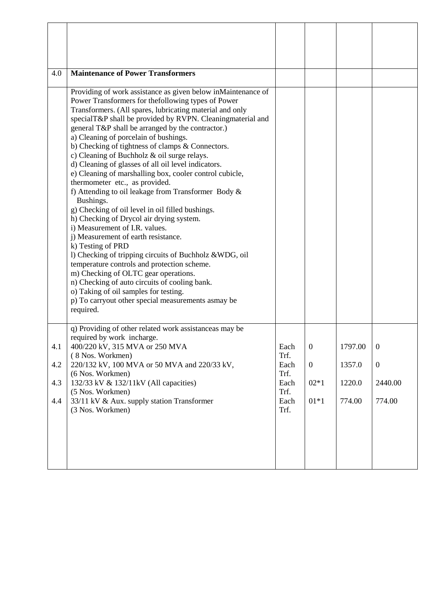| 4.0                      | <b>Maintenance of Power Transformers</b>                                                                                                                                                                                                                                                                                                                                                                                                                                                                                                                                                                                                                                                                                                                                                                                                                                                                                                                                                                                                                                                                                                                                            |                                                              |                                                        |                                       |                                                         |
|--------------------------|-------------------------------------------------------------------------------------------------------------------------------------------------------------------------------------------------------------------------------------------------------------------------------------------------------------------------------------------------------------------------------------------------------------------------------------------------------------------------------------------------------------------------------------------------------------------------------------------------------------------------------------------------------------------------------------------------------------------------------------------------------------------------------------------------------------------------------------------------------------------------------------------------------------------------------------------------------------------------------------------------------------------------------------------------------------------------------------------------------------------------------------------------------------------------------------|--------------------------------------------------------------|--------------------------------------------------------|---------------------------------------|---------------------------------------------------------|
|                          | Providing of work assistance as given below inMaintenance of<br>Power Transformers for the following types of Power<br>Transformers. (All spares, lubricating material and only<br>specialT&P shall be provided by RVPN. Cleaningmaterial and<br>general T&P shall be arranged by the contractor.)<br>a) Cleaning of porcelain of bushings.<br>b) Checking of tightness of clamps & Connectors.<br>c) Cleaning of Buchholz & oil surge relays.<br>d) Cleaning of glasses of all oil level indicators.<br>e) Cleaning of marshalling box, cooler control cubicle,<br>thermometer etc., as provided.<br>f) Attending to oil leakage from Transformer Body &<br>Bushings.<br>g) Checking of oil level in oil filled bushings.<br>h) Checking of Drycol air drying system.<br>i) Measurement of I.R. values.<br>j) Measurement of earth resistance.<br>k) Testing of PRD<br>1) Checking of tripping circuits of Buchholz & WDG, oil<br>temperature controls and protection scheme.<br>m) Checking of OLTC gear operations.<br>n) Checking of auto circuits of cooling bank.<br>o) Taking of oil samples for testing.<br>p) To carryout other special measurements asmay be<br>required. |                                                              |                                                        |                                       |                                                         |
| 4.1<br>4.2<br>4.3<br>4.4 | q) Providing of other related work assistanceas may be<br>required by work incharge.<br>400/220 kV, 315 MVA or 250 MVA<br>(8 Nos. Workmen)<br>220/132 kV, 100 MVA or 50 MVA and 220/33 kV,<br>(6 Nos. Workmen)<br>132/33 kV & 132/11kV (All capacities)<br>(5 Nos. Workmen)<br>33/11 kV & Aux. supply station Transformer<br>(3 Nos. Workmen)                                                                                                                                                                                                                                                                                                                                                                                                                                                                                                                                                                                                                                                                                                                                                                                                                                       | Each<br>Trf.<br>Each<br>Trf.<br>Each<br>Trf.<br>Each<br>Trf. | $\boldsymbol{0}$<br>$\overline{0}$<br>$02*1$<br>$01*1$ | 1797.00<br>1357.0<br>1220.0<br>774.00 | $\boldsymbol{0}$<br>$\overline{0}$<br>2440.00<br>774.00 |
|                          |                                                                                                                                                                                                                                                                                                                                                                                                                                                                                                                                                                                                                                                                                                                                                                                                                                                                                                                                                                                                                                                                                                                                                                                     |                                                              |                                                        |                                       |                                                         |